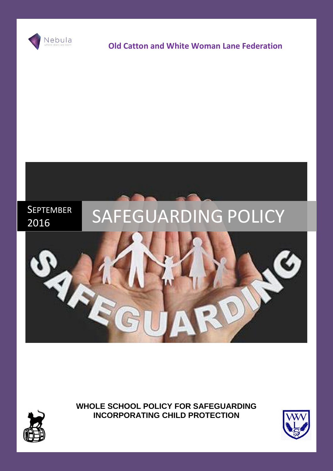

# **Old Catton and White Woman Lane Federation**



**WHOLE SCHOOL POLICY FOR SAFEGUARDING INCORPORATING CHILD PROTECTION**





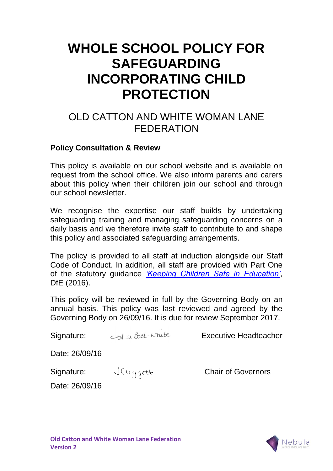# **WHOLE SCHOOL POLICY FOR SAFEGUARDING INCORPORATING CHILD PROTECTION**

# OLD CATTON AND WHITE WOMAN LANE FEDERATION

# **Policy Consultation & Review**

This policy is available on our school website and is available on request from the school office. We also inform parents and carers about this policy when their children join our school and through our school newsletter.

We recognise the expertise our staff builds by undertaking safeguarding training and managing safeguarding concerns on a daily basis and we therefore invite staff to contribute to and shape this policy and associated safeguarding arrangements.

The policy is provided to all staff at induction alongside our Staff Code of Conduct. In addition, all staff are provided with Part One of the statutory guidance *['Keeping Children Safe in Education'](https://www.gov.uk/government/publications/keeping-children-safe-in-education--2)*, DfE (2016).

This policy will be reviewed in full by the Governing Body on an annual basis. This policy was last reviewed and agreed by the Governing Body on 26/09/16. It is due for review September 2017.

Signature:  $\leq$  D Best-Mule<br>Executive Headteacher Date: 26/09/16 Signature: Chair of Governors

Date: 26/09/16

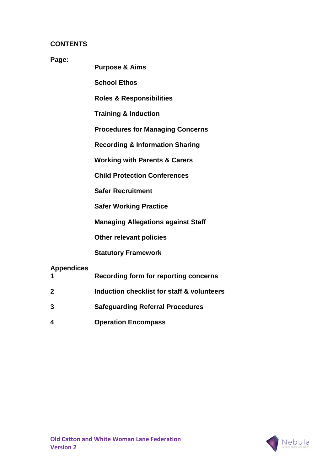#### **CONTENTS**

#### **Page:**

**Purpose & Aims**

**School Ethos**

**Roles & Responsibilities**

**Training & Induction** 

**Procedures for Managing Concerns**

**Recording & Information Sharing**

**Working with Parents & Carers**

**Child Protection Conferences**

**Safer Recruitment**

**Safer Working Practice**

**Managing Allegations against Staff**

**Other relevant policies**

**Statutory Framework**

#### **Appendices**

- **1 Recording form for reporting concerns**
- **2 Induction checklist for staff & volunteers**
- **3 Safeguarding Referral Procedures**
- **4 Operation Encompass**

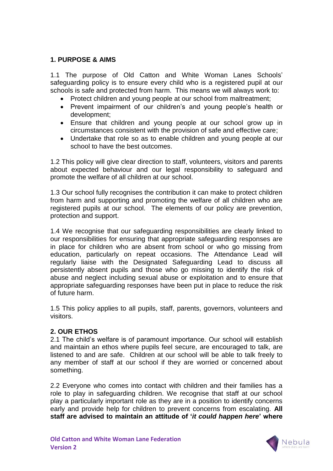#### **1. PURPOSE & AIMS**

1.1 The purpose of Old Catton and White Woman Lanes Schools' safeguarding policy is to ensure every child who is a registered pupil at our schools is safe and protected from harm. This means we will always work to:

- Protect children and young people at our school from maltreatment;
- Prevent impairment of our children's and young people's health or development;
- Ensure that children and young people at our school grow up in circumstances consistent with the provision of safe and effective care;
- Undertake that role so as to enable children and young people at our school to have the best outcomes.

1.2 This policy will give clear direction to staff, volunteers, visitors and parents about expected behaviour and our legal responsibility to safeguard and promote the welfare of all children at our school.

1.3 Our school fully recognises the contribution it can make to protect children from harm and supporting and promoting the welfare of all children who are registered pupils at our school. The elements of our policy are prevention, protection and support.

1.4 We recognise that our safeguarding responsibilities are clearly linked to our responsibilities for ensuring that appropriate safeguarding responses are in place for children who are absent from school or who go missing from education, particularly on repeat occasions. The Attendance Lead will regularly liaise with the Designated Safeguarding Lead to discuss all persistently absent pupils and those who go missing to identify the risk of abuse and neglect including sexual abuse or exploitation and to ensure that appropriate safeguarding responses have been put in place to reduce the risk of future harm.

1.5 This policy applies to all pupils, staff, parents, governors, volunteers and visitors.

#### **2. OUR ETHOS**

2.1 The child's welfare is of paramount importance. Our school will establish and maintain an ethos where pupils feel secure, are encouraged to talk, are listened to and are safe. Children at our school will be able to talk freely to any member of staff at our school if they are worried or concerned about something.

2.2 Everyone who comes into contact with children and their families has a role to play in safeguarding children. We recognise that staff at our school play a particularly important role as they are in a position to identify concerns early and provide help for children to prevent concerns from escalating. **All staff are advised to maintain an attitude of '***it could happen here***' where** 

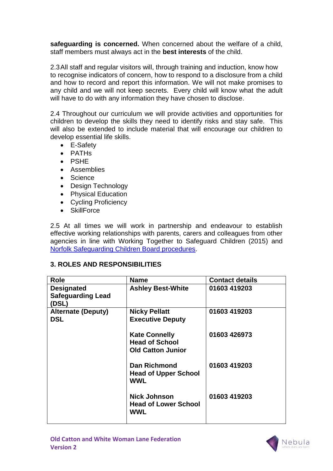**safeguarding is concerned.** When concerned about the welfare of a child, staff members must always act in the **best interests** of the child.

2.3All staff and regular visitors will, through training and induction, know how to recognise indicators of concern, how to respond to a disclosure from a child and how to record and report this information. We will not make promises to any child and we will not keep secrets. Every child will know what the adult will have to do with any information they have chosen to disclose.

2.4 Throughout our curriculum we will provide activities and opportunities for children to develop the skills they need to identify risks and stay safe. This will also be extended to include material that will encourage our children to develop essential life skills.

- E-Safety
- PATHs
- PSHF
- Assemblies
- Science
- Design Technology
- Physical Education
- Cycling Proficiency
- SkillForce

2.5 At all times we will work in partnership and endeavour to establish effective working relationships with parents, carers and colleagues from other agencies in line with Working Together to Safeguard Children (2015) and [Norfolk Safeguarding Children Board procedures.](http://www.norfolklscb.org/about/policies-procedures/policies-and-procedures/)

#### **3. ROLES AND RESPONSIBILITIES**

| Role                                                   | <b>Name</b>                                                               | <b>Contact details</b> |
|--------------------------------------------------------|---------------------------------------------------------------------------|------------------------|
| <b>Designated</b><br><b>Safeguarding Lead</b><br>(DSL) | <b>Ashley Best-White</b>                                                  | 01603 419203           |
| <b>Alternate (Deputy)</b><br><b>DSL</b>                | <b>Nicky Pellatt</b><br><b>Executive Deputy</b>                           | 01603 419203           |
|                                                        | <b>Kate Connelly</b><br><b>Head of School</b><br><b>Old Catton Junior</b> | 01603 426973           |
|                                                        | <b>Dan Richmond</b><br><b>Head of Upper School</b><br><b>WWL</b>          | 01603 419203           |
|                                                        | <b>Nick Johnson</b><br><b>Head of Lower School</b><br>WWL                 | 01603 419203           |



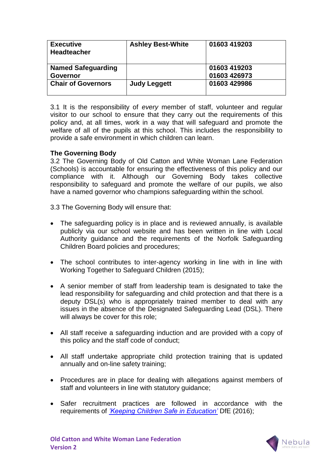| <b>Executive</b><br><b>Headteacher</b> | <b>Ashley Best-White</b> | 01603 419203 |
|----------------------------------------|--------------------------|--------------|
| <b>Named Safeguarding</b>              |                          | 01603 419203 |
| <b>Governor</b>                        |                          | 01603 426973 |
| <b>Chair of Governors</b>              | <b>Judy Leggett</b>      | 01603 429986 |

3.1 It is the responsibility of *every* member of staff, volunteer and regular visitor to our school to ensure that they carry out the requirements of this policy and, at all times, work in a way that will safeguard and promote the welfare of all of the pupils at this school. This includes the responsibility to provide a safe environment in which children can learn.

#### **The Governing Body**

3.2 The Governing Body of Old Catton and White Woman Lane Federation (Schools) is accountable for ensuring the effectiveness of this policy and our compliance with it. Although our Governing Body takes collective responsibility to safeguard and promote the welfare of our pupils, we also have a named governor who champions safeguarding within the school.

3.3 The Governing Body will ensure that:

- The safeguarding policy is in place and is reviewed annually, is available publicly via our school website and has been written in line with Local Authority guidance and the requirements of the Norfolk Safeguarding Children Board policies and procedures;
- The school contributes to inter-agency working in line with in line with Working Together to Safeguard Children (2015);
- A senior member of staff from leadership team is designated to take the lead responsibility for safeguarding and child protection and that there is a deputy DSL(s) who is appropriately trained member to deal with any issues in the absence of the Designated Safeguarding Lead (DSL). There will always be cover for this role;
- All staff receive a safeguarding induction and are provided with a copy of this policy and the staff code of conduct;
- All staff undertake appropriate child protection training that is updated annually and on-line safety training;
- Procedures are in place for dealing with allegations against members of staff and volunteers in line with statutory guidance;
- Safer recruitment practices are followed in accordance with the requirements of *['Keeping Children Safe in Education'](https://www.gov.uk/government/publications/keeping-children-safe-in-education--2)* DfE (2016);

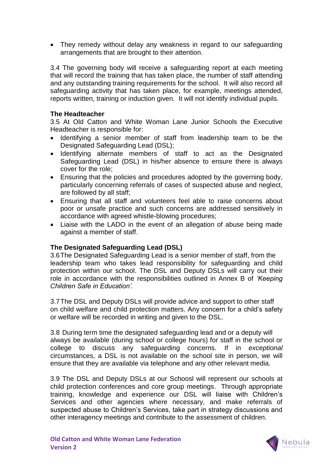• They remedy without delay any weakness in regard to our safeguarding arrangements that are brought to their attention.

3.4 The governing body will receive a safeguarding report at each meeting that will record the training that has taken place, the number of staff attending and any outstanding training requirements for the school. It will also record all safeguarding activity that has taken place, for example, meetings attended, reports written, training or induction given. It will not identify individual pupils.

#### **The Headteacher**

3.5 At Old Catton and White Woman Lane Junior Schools the Executive Headteacher is responsible for:

- Identifying a senior member of staff from leadership team to be the Designated Safeguarding Lead (DSL);
- Identifying alternate members of staff to act as the Designated Safeguarding Lead (DSL) in his/her absence to ensure there is always cover for the role;
- Ensuring that the policies and procedures adopted by the governing body, particularly concerning referrals of cases of suspected abuse and neglect, are followed by all staff;
- Ensuring that all staff and volunteers feel able to raise concerns about poor or unsafe practice and such concerns are addressed sensitively in accordance with agreed whistle-blowing procedures;
- Liaise with the LADO in the event of an allegation of abuse being made against a member of staff.

#### **The Designated Safeguarding Lead (DSL)**

3.6The Designated Safeguarding Lead is a senior member of staff, from the leadership team who takes lead responsibility for safeguarding and child protection within our school. The DSL and Deputy DSLs will carry out their role in accordance with the responsibilities outlined in Annex B of *'Keeping Children Safe in Education'.* 

3.7The DSL and Deputy DSLs will provide advice and support to other staff on child welfare and child protection matters. Any concern for a child's safety or welfare will be recorded in writing and given to the DSL.

3.8 During term time the designated safeguarding lead and or a deputy will always be available (during school or college hours) for staff in the school or college to discuss any safeguarding concerns. If in *exceptional* circumstances, a DSL is not available on the school site in person, we will ensure that they are available via telephone and any other relevant media.

3.9 The DSL and Deputy DSLs at our Schoosl will represent our schools at child protection conferences and core group meetings. Through appropriate training, knowledge and experience our DSL will liaise with Children's Services and other agencies where necessary, and make referrals of suspected abuse to Children's Services, take part in strategy discussions and other interagency meetings and contribute to the assessment of children.

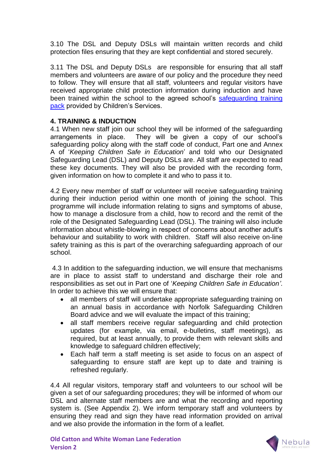3.10 The DSL and Deputy DSLs will maintain written records and child protection files ensuring that they are kept confidential and stored securely.

3.11 The DSL and Deputy DSLs are responsible for ensuring that all staff members and volunteers are aware of our policy and the procedure they need to follow. They will ensure that all staff, volunteers and regular visitors have received appropriate child protection information during induction and have been trained within the school to the agreed school's safeguarding training [pack](http://www.schools.norfolk.gov.uk/behaviour-and-safety/safeguarding/training/ncc096606) provided by Children's Services.

#### **4. TRAINING & INDUCTION**

4.1 When new staff join our school they will be informed of the safeguarding arrangements in place. They will be given a copy of our school's safeguarding policy along with the staff code of conduct, Part one and Annex A of '*Keeping Children Safe in Education*' and told who our Designated Safeguarding Lead (DSL) and Deputy DSLs are. All staff are expected to read these key documents. They will also be provided with the recording form, given information on how to complete it and who to pass it to.

4.2 Every new member of staff or volunteer will receive safeguarding training during their induction period within one month of joining the school. This programme will include information relating to signs and symptoms of abuse, how to manage a disclosure from a child, how to record and the remit of the role of the Designated Safeguarding Lead (DSL). The training will also include information about whistle-blowing in respect of concerns about another adult's behaviour and suitability to work with children. Staff will also receive on-line safety training as this is part of the overarching safeguarding approach of our school.

4.3 In addition to the safeguarding induction, we will ensure that mechanisms are in place to assist staff to understand and discharge their role and responsibilities as set out in Part one of '*Keeping Children Safe in Education'*. In order to achieve this we will ensure that:

- all members of staff will undertake appropriate safeguarding training on an annual basis in accordance with Norfolk Safeguarding Children Board advice and we will evaluate the impact of this training;
- all staff members receive regular safeguarding and child protection updates (for example, via email, e-bulletins, staff meetings), as required, but at least annually, to provide them with relevant skills and knowledge to safeguard children effectively;
- Each half term a staff meeting is set aside to focus on an aspect of safeguarding to ensure staff are kept up to date and training is refreshed regularly.

4.4 All regular visitors, temporary staff and volunteers to our school will be given a set of our safeguarding procedures; they will be informed of whom our DSL and alternate staff members are and what the recording and reporting system is. (See Appendix 2). We inform temporary staff and volunteers by ensuring they read and sign they have read information provided on arrival and we also provide the information in the form of a leaflet.

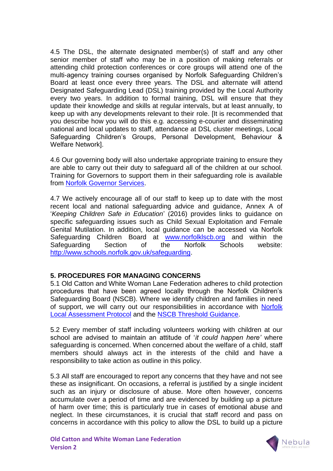4.5 The DSL, the alternate designated member(s) of staff and any other senior member of staff who may be in a position of making referrals or attending child protection conferences or core groups will attend one of the multi-agency training courses organised by Norfolk Safeguarding Children's Board at least once every three years. The DSL and alternate will attend Designated Safeguarding Lead (DSL) training provided by the Local Authority every two years. In addition to formal training, DSL will ensure that they update their knowledge and skills at regular intervals, but at least annually, to keep up with any developments relevant to their role. [It is recommended that you describe how you will do this e.g. accessing e-courier and disseminating national and local updates to staff, attendance at DSL cluster meetings, Local Safeguarding Children's Groups, Personal Development, Behaviour & Welfare Network].

4.6 Our governing body will also undertake appropriate training to ensure they are able to carry out their duty to safeguard all of the children at our school. Training for Governors to support them in their safeguarding role is available from [Norfolk Governor Services.](http://www.schools.norfolk.gov.uk/school-management/governors/index.htm)

4.7 We actively encourage all of our staff to keep up to date with the most recent local and national safeguarding advice and guidance, Annex A of '*Keeping Children Safe in Education*' (2016) provides links to guidance on specific safeguarding issues such as Child Sexual Exploitation and Female Genital Mutilation. In addition, local guidance can be accessed via Norfolk Safeguarding Children Board at [www.norfolklscb.org](http://www.norfolklscb.org/) and within the Safeguarding Section of the Norfolk Schools website: [http://www.schools.norfolk.gov.uk/safeguarding.](http://www.schools.norfolk.gov.uk/safeguarding)

#### **5. PROCEDURES FOR MANAGING CONCERNS**

5.1 Old Catton and White Woman Lane Federation adheres to child protection procedures that have been agreed locally through the Norfolk Children's Safeguarding Board (NSCB). Where we identify children and families in need of support, we will carry out our responsibilities in accordance with [Norfolk](http://www.norfolklscb.org/about/policies-procedures/3-2-norfolk-local-assessment-protocol/)  [Local Assessment Protocol](http://www.norfolklscb.org/about/policies-procedures/3-2-norfolk-local-assessment-protocol/) and the [NSCB Threshold Guidance.](http://www.norfolklscb.org/wp-content/uploads/2015/12/norfolk_thresh_guide.pdf)

5.2 Every member of staff including volunteers working with children at our school are advised to maintain an attitude of '*it could happen here'* where safeguarding is concerned. When concerned about the welfare of a child, staff members should always act in the interests of the child and have a responsibility to take action as outline in this policy.

5.3 All staff are encouraged to report any concerns that they have and not see these as insignificant. On occasions, a referral is justified by a single incident such as an injury or disclosure of abuse. More often however, concerns accumulate over a period of time and are evidenced by building up a picture of harm over time; this is particularly true in cases of emotional abuse and neglect. In these circumstances, it is crucial that staff record and pass on concerns in accordance with this policy to allow the DSL to build up a picture

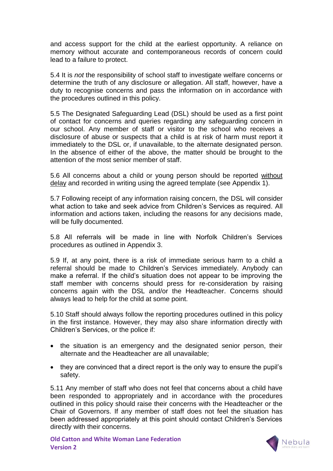and access support for the child at the earliest opportunity. A reliance on memory without accurate and contemporaneous records of concern could lead to a failure to protect.

5.4 It is *not* the responsibility of school staff to investigate welfare concerns or determine the truth of any disclosure or allegation. All staff, however, have a duty to recognise concerns and pass the information on in accordance with the procedures outlined in this policy.

5.5 The Designated Safeguarding Lead (DSL) should be used as a first point of contact for concerns and queries regarding any safeguarding concern in our school. Any member of staff or visitor to the school who receives a disclosure of abuse or suspects that a child is at risk of harm must report it immediately to the DSL or, if unavailable, to the alternate designated person. In the absence of either of the above, the matter should be brought to the attention of the most senior member of staff.

5.6 All concerns about a child or young person should be reported without delay and recorded in writing using the agreed template (see Appendix 1).

5.7 Following receipt of any information raising concern, the DSL will consider what action to take and seek advice from Children's Services as required. All information and actions taken, including the reasons for any decisions made, will be fully documented.

5.8 All referrals will be made in line with Norfolk Children's Services procedures as outlined in Appendix 3.

5.9 If, at any point, there is a risk of immediate serious harm to a child a referral should be made to Children's Services immediately. Anybody can make a referral. If the child's situation does not appear to be improving the staff member with concerns should press for re-consideration by raising concerns again with the DSL and/or the Headteacher. Concerns should always lead to help for the child at some point.

5.10 Staff should always follow the reporting procedures outlined in this policy in the first instance. However, they may also share information directly with Children's Services, or the police if:

- the situation is an emergency and the designated senior person, their alternate and the Headteacher are all unavailable;
- they are convinced that a direct report is the only way to ensure the pupil's safety.

5.11 Any member of staff who does not feel that concerns about a child have been responded to appropriately and in accordance with the procedures outlined in this policy should raise their concerns with the Headteacher or the Chair of Governors. If any member of staff does not feel the situation has been addressed appropriately at this point should contact Children's Services directly with their concerns.

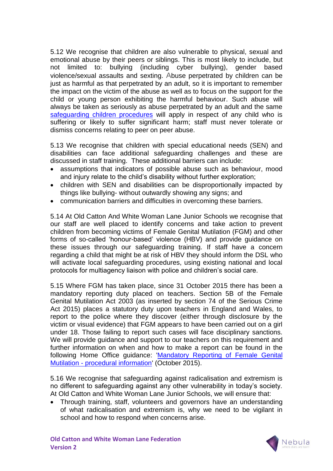5.12 We recognise that children are also vulnerable to physical, sexual and emotional abuse by their peers or siblings. This is most likely to include, but not limited to: bullying (including cyber bullying), gender based violence/sexual assaults and sexting. Abuse perpetrated by children can be just as harmful as that perpetrated by an adult, so it is important to remember the impact on the victim of the abuse as well as to focus on the support for the child or young person exhibiting the harmful behaviour. Such abuse will always be taken as seriously as abuse perpetrated by an adult and the same [safeguarding children procedures](http://www.norfolklscb.org/about/policies-procedures/policies-and-procedures/) will apply in respect of any child who is suffering or likely to suffer significant harm; staff must never tolerate or dismiss concerns relating to peer on peer abuse.

5.13 We recognise that children with special educational needs (SEN) and disabilities can face additional safeguarding challenges and these are discussed in staff training. These additional barriers can include:

- assumptions that indicators of possible abuse such as behaviour, mood and injury relate to the child's disability without further exploration;
- children with SEN and disabilities can be disproportionally impacted by things like bullying- without outwardly showing any signs; and
- communication barriers and difficulties in overcoming these barriers.

5.14 At Old Catton And White Woman Lane Junior Schools we recognise that our staff are well placed to identify concerns and take action to prevent children from becoming victims of Female Genital Mutilation (FGM) and other forms of so-called 'honour-based' violence (HBV) and provide guidance on these issues through our safeguarding training. If staff have a concern regarding a child that might be at risk of HBV they should inform the DSL who will activate local safeguarding procedures, using existing national and local protocols for multiagency liaison with police and children's social care.

5.15 Where FGM has taken place, since 31 October 2015 there has been a mandatory reporting duty placed on teachers. Section 5B of the Female Genital Mutilation Act 2003 (as inserted by section 74 of the Serious Crime Act 2015) places a statutory duty upon teachers in England and Wales, to report to the police where they discover (either through disclosure by the victim or visual evidence) that FGM appears to have been carried out on a girl under 18. Those failing to report such cases will face disciplinary sanctions. We will provide guidance and support to our teachers on this requirement and further information on when and how to make a report can be found in the following Home Office guidance: ['Mandatory Reporting of Female Genital](https://www.gov.uk/government/uploads/system/uploads/attachment_data/file/469448/FGM-Mandatory-Reporting-procedural-info-FINAL.pdf)  Mutilation - [procedural information'](https://www.gov.uk/government/uploads/system/uploads/attachment_data/file/469448/FGM-Mandatory-Reporting-procedural-info-FINAL.pdf) (October 2015).

5.16 We recognise that safeguarding against radicalisation and extremism is no different to safeguarding against any other vulnerability in today's society*.*  At Old Catton and White Woman Lane Junior Schools, we will ensure that:

 Through training, staff, volunteers and governors have an understanding of what radicalisation and extremism is, why we need to be vigilant in school and how to respond when concerns arise.

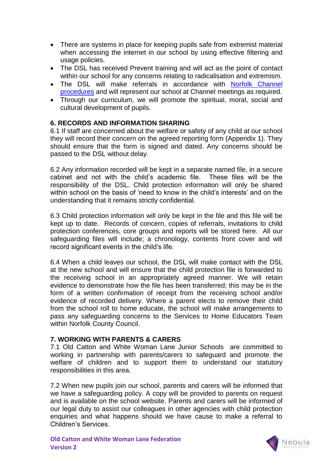- There are systems in place for keeping pupils safe from extremist material when accessing the internet in our school by using effective filtering and usage policies.
- The DSL has received Prevent training and will act as the point of contact within our school for any concerns relating to radicalisation and extremism.
- The DSL will make referrals in accordance with Norfolk Channel [procedures](http://www.norfolklscb.org/wp-content/uploads/2016/05/Channel-Norfolk-SOP-April-2016.doc) and will represent our school at Channel meetings as required.
- Through our curriculum, we will promote the spiritual, moral, social and cultural development of pupils.

#### **6. RECORDS AND INFORMATION SHARING**

6.1 If staff are concerned about the welfare or safety of any child at our school they will record their concern on the agreed reporting form (Appendix 1). They should ensure that the form is signed and dated. Any concerns should be passed to the DSL without delay.

6.2 Any information recorded will be kept in a separate named file, in a secure cabinet and not with the child's academic file. These files will be the responsibility of the DSL. Child protection information will only be shared within school on the basis of 'need to know in the child's interests' and on the understanding that it remains strictly confidential.

6.3 Child protection information will only be kept in the file and this file will be kept up to date. Records of concern, copies of referrals, invitations to child protection conferences, core groups and reports will be stored here. All our safeguarding files will include; a chronology, contents front cover and will record significant events in the child's life.

6.4 When a child leaves our school, the DSL will make contact with the DSL at the new school and will ensure that the child protection file is forwarded to the receiving school in an appropriately agreed manner. We will retain evidence to demonstrate how the file has been transferred; this may be in the form of a written confirmation of receipt from the receiving school and/or evidence of recorded delivery. Where a parent elects to remove their child from the school roll to home educate, the school will make arrangements to pass any safeguarding concerns to the Services to Home Educators Team within Norfolk County Council.

#### **7. WORKING WITH PARENTS & CARERS**

7.1 Old Catton and White Woman Lane Junior Schools are committed to working in partnership with parents/carers to safeguard and promote the welfare of children and to support them to understand our statutory responsibilities in this area.

7.2 When new pupils join our school, parents and carers will be informed that we have a safeguarding policy. A copy will be provided to parents on request and is available on the school website. Parents and carers will be informed of our legal duty to assist our colleagues in other agencies with child protection enquiries and what happens should we have cause to make a referral to Children's Services.

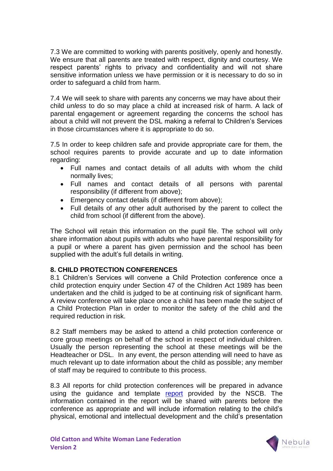7.3 We are committed to working with parents positively, openly and honestly. We ensure that all parents are treated with respect, dignity and courtesy. We respect parents' rights to privacy and confidentiality and will not share sensitive information unless we have permission or it is necessary to do so in order to safeguard a child from harm.

7.4 We will seek to share with parents any concerns we may have about their child *unless* to do so may place a child at increased risk of harm. A lack of parental engagement or agreement regarding the concerns the school has about a child will not prevent the DSL making a referral to Children's Services in those circumstances where it is appropriate to do so.

7.5 In order to keep children safe and provide appropriate care for them, the school requires parents to provide accurate and up to date information regarding:

- Full names and contact details of all adults with whom the child normally lives;
- Full names and contact details of all persons with parental responsibility (if different from above);
- Emergency contact details (if different from above);
- Full details of any other adult authorised by the parent to collect the child from school (if different from the above).

The School will retain this information on the pupil file. The school will only share information about pupils with adults who have parental responsibility for a pupil or where a parent has given permission and the school has been supplied with the adult's full details in writing.

#### **8. CHILD PROTECTION CONFERENCES**

8.1 Children's Services will convene a Child Protection conference once a child protection enquiry under Section 47 of the Children Act 1989 has been undertaken and the child is judged to be at continuing risk of significant harm. A review conference will take place once a child has been made the subject of a Child Protection Plan in order to monitor the safety of the child and the required reduction in risk.

8.2 Staff members may be asked to attend a child protection conference or core group meetings on behalf of the school in respect of individual children. Usually the person representing the school at these meetings will be the Headteacher or DSL. In any event, the person attending will need to have as much relevant up to date information about the child as possible; any member of staff may be required to contribute to this process.

8.3 All reports for child protection conferences will be prepared in advance using the guidance and template [report](http://www.schools.norfolk.gov.uk/download/ncc169080) provided by the NSCB. The information contained in the report will be shared with parents before the conference as appropriate and will include information relating to the child's physical, emotional and intellectual development and the child's presentation

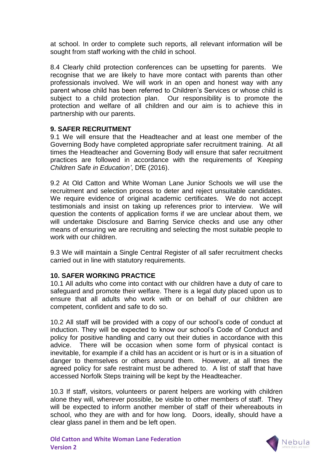at school. In order to complete such reports, all relevant information will be sought from staff working with the child in school.

8.4 Clearly child protection conferences can be upsetting for parents. We recognise that we are likely to have more contact with parents than other professionals involved. We will work in an open and honest way with any parent whose child has been referred to Children's Services or whose child is subject to a child protection plan. Our responsibility is to promote the protection and welfare of all children and our aim is to achieve this in partnership with our parents.

#### **9. SAFER RECRUITMENT**

9.1 We will ensure that the Headteacher and at least one member of the Governing Body have completed appropriate safer recruitment training. At all times the Headteacher and Governing Body will ensure that safer recruitment practices are followed in accordance with the requirements of *'Keeping Children Safe in Education'*, DfE (2016).

9.2 At Old Catton and White Woman Lane Junior Schools we will use the recruitment and selection process to deter and reject unsuitable candidates. We require evidence of original academic certificates. We do not accept testimonials and insist on taking up references prior to interview. We will question the contents of application forms if we are unclear about them, we will undertake Disclosure and Barring Service checks and use any other means of ensuring we are recruiting and selecting the most suitable people to work with our children.

9.3 We will maintain a Single Central Register of all safer recruitment checks carried out in line with statutory requirements.

#### **10. SAFER WORKING PRACTICE**

10.1 All adults who come into contact with our children have a duty of care to safeguard and promote their welfare. There is a legal duty placed upon us to ensure that all adults who work with or on behalf of our children are competent, confident and safe to do so.

10.2 All staff will be provided with a copy of our school's code of conduct at induction. They will be expected to know our school's Code of Conduct and policy for positive handling and carry out their duties in accordance with this advice. There will be occasion when some form of physical contact is inevitable, for example if a child has an accident or is hurt or is in a situation of danger to themselves or others around them. However, at all times the agreed policy for safe restraint must be adhered to. A list of staff that have accessed Norfolk Steps training will be kept by the Headteacher.

10.3 If staff, visitors, volunteers or parent helpers are working with children alone they will, wherever possible, be visible to other members of staff. They will be expected to inform another member of staff of their whereabouts in school, who they are with and for how long. Doors, ideally, should have a clear glass panel in them and be left open.

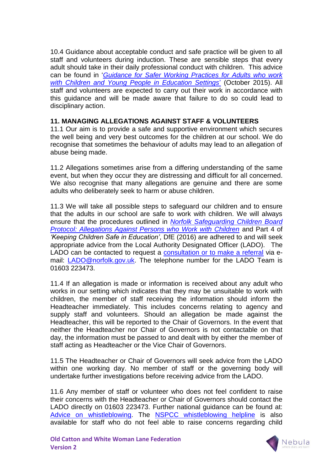10.4 Guidance about acceptable conduct and safe practice will be given to all staff and volunteers during induction. These are sensible steps that every adult should take in their daily professional conduct with children. This advice can be found in '*[Guidance for Safer Working Practices for Adults who work](http://www.schools.norfolk.gov.uk/download/ncc097068)  [with Children and Young People in Education Settings](http://www.schools.norfolk.gov.uk/download/ncc097068)*' (October 2015). All staff and volunteers are expected to carry out their work in accordance with this guidance and will be made aware that failure to do so could lead to disciplinary action.

#### **11. MANAGING ALLEGATIONS AGAINST STAFF & VOLUNTEERS**

11.1 Our aim is to provide a safe and supportive environment which secures the well being and very best outcomes for the children at our school. We do recognise that sometimes the behaviour of adults may lead to an allegation of abuse being made.

11.2 Allegations sometimes arise from a differing understanding of the same event, but when they occur they are distressing and difficult for all concerned. We also recognise that many allegations are genuine and there are some adults who deliberately seek to harm or abuse children.

11.3 We will take all possible steps to safeguard our children and to ensure that the adults in our school are safe to work with children. We will always ensure that the procedures outlined in *[Norfolk Safeguarding Children Board](http://www.norfolklscb.org/about/policies-procedures/8-3-allegations-against-persons-who-work-with-children/)  Protocol: [Allegations Against Persons who Work with Children](http://www.norfolklscb.org/about/policies-procedures/8-3-allegations-against-persons-who-work-with-children/)* and Part 4 of *'Keeping Children Safe in Education'*, DfE (2016) are adhered to and will seek appropriate advice from the Local Authority Designated Officer (LADO). The LADO can be contacted to request a [consultation or to make a referral](https://csapps.norfolk.gov.uk/csshared/ecourier2/misheet.asp?misheetid=21886) via email: [LADO@norfolk.gov.uk.](mailto:LADO@norfolk.gov.uk) The telephone number for the LADO Team is 01603 223473.

11.4 If an allegation is made or information is received about any adult who works in our setting which indicates that they may be unsuitable to work with children, the member of staff receiving the information should inform the Headteacher immediately. This includes concerns relating to agency and supply staff and volunteers. Should an allegation be made against the Headteacher, this will be reported to the Chair of Governors. In the event that neither the Headteacher nor Chair of Governors is not contactable on that day, the information must be passed to and dealt with by either the member of staff acting as Headteacher or the Vice Chair of Governors.

11.5 The Headteacher or Chair of Governors will seek advice from the LADO within one working day. No member of staff or the governing body will undertake further investigations before receiving advice from the LADO.

11.6 Any member of staff or volunteer who does not feel confident to raise their concerns with the Headteacher or Chair of Governors should contact the LADO directly on 01603 223473. Further national guidance can be found at: [Advice on whistleblowing.](https://www.gov.uk/whistleblowing) The [NSPCC whistleblowing helpline](https://www.gov.uk/government/news/home-office-launches-child-abuse-whistleblowing-helpline) is also available for staff who do not feel able to raise concerns regarding child

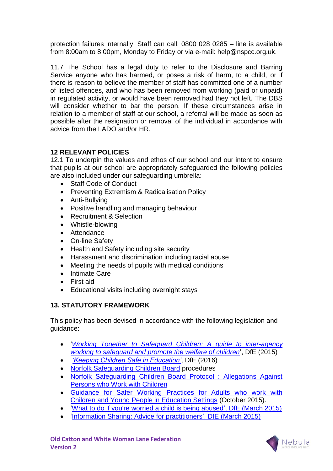protection failures internally. Staff can call: 0800 028 0285 – line is available from 8:00am to 8:00pm, Monday to Friday or via e-mail: help@nspcc.org.uk.

11.7 The School has a legal duty to refer to the Disclosure and Barring Service anyone who has harmed, or poses a risk of harm, to a child, or if there is reason to believe the member of staff has committed one of a number of listed offences, and who has been removed from working (paid or unpaid) in regulated activity, or would have been removed had they not left. The DBS will consider whether to bar the person. If these circumstances arise in relation to a member of staff at our school, a referral will be made as soon as possible after the resignation or removal of the individual in accordance with advice from the LADO and/or HR.

# **12 RELEVANT POLICIES**

12.1 To underpin the values and ethos of our school and our intent to ensure that pupils at our school are appropriately safeguarded the following policies are also included under our safeguarding umbrella:

- Staff Code of Conduct
- Preventing Extremism & Radicalisation Policy
- Anti-Bullying
- Positive handling and managing behaviour
- Recruitment & Selection
- Whistle-blowing
- Attendance
- On-line Safety
- Health and Safety including site security
- Harassment and discrimination including racial abuse
- Meeting the needs of pupils with medical conditions
- Intimate Care
- First aid
- Educational visits including overnight stays

# **13. STATUTORY FRAMEWORK**

This policy has been devised in accordance with the following legislation and guidance:

- '*[Working Together to Safeguard Children: A guide to inter-agency](https://www.gov.uk/government/uploads/system/uploads/attachment_data/file/419595/Working_Together_to_Safeguard_Children.pdf)  [working to safeguard and promote the welfare of children](https://www.gov.uk/government/uploads/system/uploads/attachment_data/file/419595/Working_Together_to_Safeguard_Children.pdf)*', DfE (2015)
- *['Keeping Children Safe in Education'](https://www.gov.uk/government/publications/keeping-children-safe-in-education--2)*, DfE (2016)
- [Norfolk Safeguarding Children Board](http://www.norfolklscb.org/about/policies-procedures/) procedures
- [Norfolk Safeguarding Children Board Protocol : Allegations Against](http://www.norfolklscb.org/about/policies-procedures/8-3-allegations-against-persons-who-work-with-children/)  [Persons who Work with Children](http://www.norfolklscb.org/about/policies-procedures/8-3-allegations-against-persons-who-work-with-children/)
- [Guidance for Safer Working Practices for Adults who work with](http://www.schools.norfolk.gov.uk/download/ncc097068)  [Children and Young People in Education Settings](http://www.schools.norfolk.gov.uk/download/ncc097068) (October 2015).
- ['What to do if you're worried a child is being abused', DfE \(March 2015\)](https://www.gov.uk/government/uploads/system/uploads/attachment_data/file/419604/What_to_do_if_you_re_worried_a_child_is_being_abused.pdf)
- ['Information Sharing: Advice for practitioners', DfE \(March 2015\)](https://www.gov.uk/government/uploads/system/uploads/attachment_data/file/419628/Information_sharing_advice_safeguarding_practitioners.pdf)

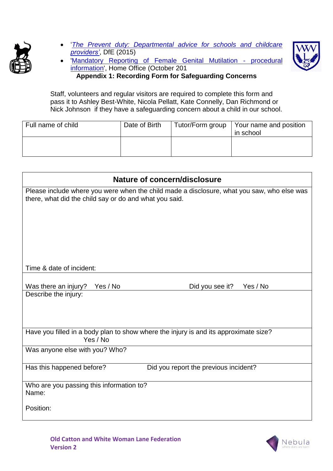

 '*[The Prevent duty: Departmental advice for schools and childcare](https://www.gov.uk/government/uploads/system/uploads/attachment_data/file/439598/prevent-duty-departmental-advice-v6.pdf)  [providers'](https://www.gov.uk/government/uploads/system/uploads/attachment_data/file/439598/prevent-duty-departmental-advice-v6.pdf)*, DfE (2015)



 ['Mandatory Reporting of Female](https://www.gov.uk/government/uploads/system/uploads/attachment_data/file/469448/FGM-Mandatory-Reporting-procedural-info-FINAL.pdf) Genital Mutilation - procedural [information',](https://www.gov.uk/government/uploads/system/uploads/attachment_data/file/469448/FGM-Mandatory-Reporting-procedural-info-FINAL.pdf) Home Office (October 201 **Appendix 1: Recording Form for Safeguarding Concerns**

Staff, volunteers and regular visitors are required to complete this form and pass it to Ashley Best-White, Nicola Pellatt, Kate Connelly, Dan Richmond or Nick Johnson if they have a safeguarding concern about a child in our school.

| Full name of child | Date of Birth | Tutor/Form group | Your name and position<br>in school |
|--------------------|---------------|------------------|-------------------------------------|
|                    |               |                  |                                     |

| Nature of concern/disclosure                                                                                                                         |
|------------------------------------------------------------------------------------------------------------------------------------------------------|
| Please include where you were when the child made a disclosure, what you saw, who else was<br>there, what did the child say or do and what you said. |
| Time & date of incident:                                                                                                                             |
| Was there an injury?<br>Yes / No<br>Did you see it?<br>Yes / No<br>Describe the injury:                                                              |
| Have you filled in a body plan to show where the injury is and its approximate size?<br>Yes / No                                                     |
| Was anyone else with you? Who?                                                                                                                       |
| Did you report the previous incident?<br>Has this happened before?                                                                                   |
| Who are you passing this information to?<br>Name:<br>Position:                                                                                       |
|                                                                                                                                                      |

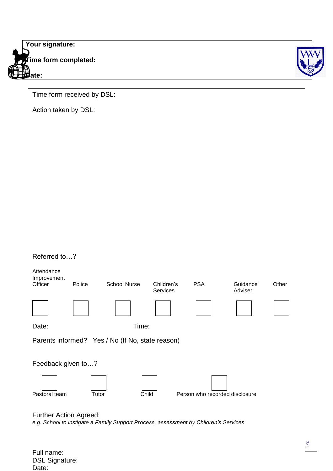| Your signature:      |  |
|----------------------|--|
| Time form completed: |  |
| ate:                 |  |

Full name: DSL Signature:

Date:

| Time form received by DSL:                                                                                                                    |
|-----------------------------------------------------------------------------------------------------------------------------------------------|
| Action taken by DSL:                                                                                                                          |
|                                                                                                                                               |
|                                                                                                                                               |
|                                                                                                                                               |
|                                                                                                                                               |
|                                                                                                                                               |
|                                                                                                                                               |
|                                                                                                                                               |
|                                                                                                                                               |
|                                                                                                                                               |
| Referred to?                                                                                                                                  |
| Attendance<br>Improvement<br><b>School Nurse</b><br><b>PSA</b><br>Guidance<br>Other<br>Officer<br>Police<br>Children's<br>Services<br>Adviser |
|                                                                                                                                               |
| Time:<br>Date:                                                                                                                                |
| Parents informed? Yes / No (If No, state reason)                                                                                              |
| Feedback given to?                                                                                                                            |
|                                                                                                                                               |
| Pastoral team<br>Child<br>Person who recorded disclosure<br>Tutor                                                                             |
| <b>Further Action Agreed:</b><br>e.g. School to instigate a Family Support Process, assessment by Children's Services                         |
|                                                                                                                                               |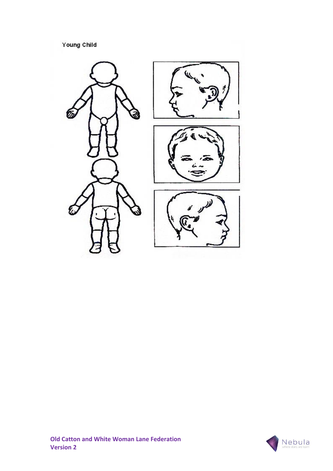Young Child



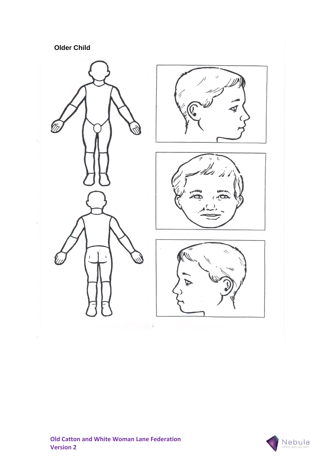# **Older Child**



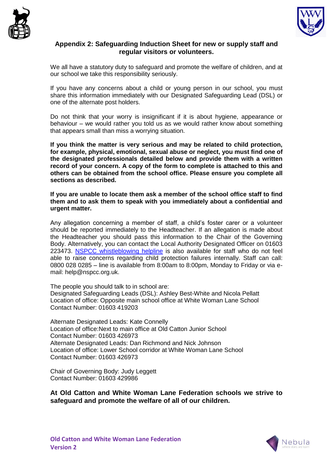



#### **Appendix 2: Safeguarding Induction Sheet for new or supply staff and regular visitors or volunteers.**

We all have a statutory duty to safeguard and promote the welfare of children, and at our school we take this responsibility seriously.

If you have any concerns about a child or young person in our school, you must share this information immediately with our Designated Safeguarding Lead (DSL) or one of the alternate post holders.

Do not think that your worry is insignificant if it is about hygiene, appearance or behaviour – we would rather you told us as we would rather know about something that appears small than miss a worrying situation.

**If you think the matter is very serious and may be related to child protection, for example, physical, emotional, sexual abuse or neglect, you must find one of the designated professionals detailed below and provide them with a written record of your concern. A copy of the form to complete is attached to this and others can be obtained from the school office. Please ensure you complete all sections as described.**

**If you are unable to locate them ask a member of the school office staff to find them and to ask them to speak with you immediately about a confidential and urgent matter.**

Any allegation concerning a member of staff, a child's foster carer or a volunteer should be reported immediately to the Headteacher. If an allegation is made about the Headteacher you should pass this information to the Chair of the Governing Body. Alternatively, you can contact the Local Authority Designated Officer on 01603 223473. [NSPCC whistleblowing helpline](https://www.gov.uk/government/news/home-office-launches-child-abuse-whistleblowing-helpline) is also available for staff who do not feel able to raise concerns regarding child protection failures internally. Staff can call: 0800 028 0285 – line is available from 8:00am to 8:00pm, Monday to Friday or via email: help@nspcc.org.uk.

The people you should talk to in school are: Designated Safeguarding Leads (DSL): Ashley Best-White and Nicola Pellatt Location of office: Opposite main school office at White Woman Lane School Contact Number: 01603 419203

Alternate Designated Leads: Kate Connelly Location of office:Next to main office at Old Catton Junior School Contact Number: 01603 426973 Alternate Designated Leads: Dan Richmond and Nick Johnson Location of office: Lower School corridor at White Woman Lane School Contact Number: 01603 426973

Chair of Governing Body: Judy Leggett Contact Number: 01603 429986

**At Old Catton and White Woman Lane Federation schools we strive to safeguard and promote the welfare of all of our children.**

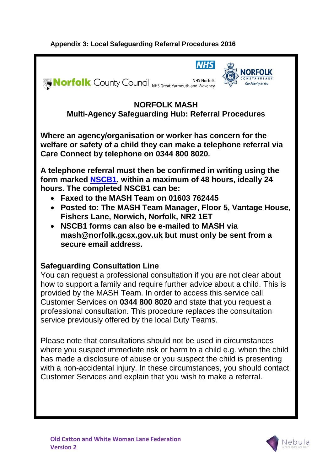# **Appendix 3: Local Safeguarding Referral Procedures 2016**



Please note that consultations should not be used in circumstances where you suspect immediate risk or harm to a child e.g. when the child has made a disclosure of abuse or you suspect the child is presenting with a non-accidental injury. In these circumstances, you should contact Customer Services and explain that you wish to make a referral.